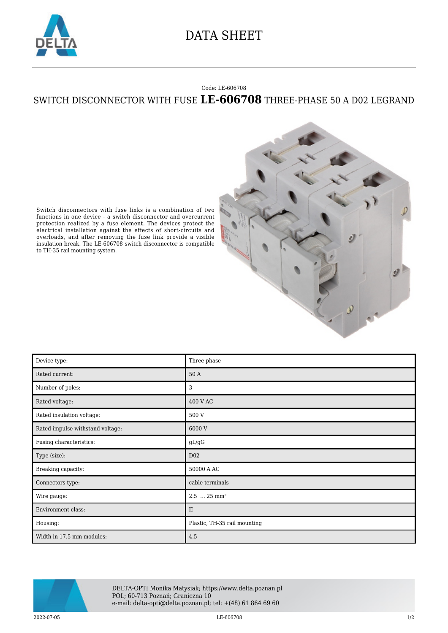

## DATA SHEET

## Code: LE-606708

## SWITCH DISCONNECTOR WITH FUSE **LE-606708** THREE-PHASE 50 A D02 LEGRAND



Switch disconnectors with fuse links is a combination of two functions in one device - a switch disconnector and overcurrent protection realized by a fuse element. The devices protect the electrical installation against the effects of short-circuits and overloads, and after removing the fuse link provide a visible insulation break. The LE-606708 switch disconnector is compatible to TH-35 rail mounting system.

| Device type:                     | Three-phase                  |
|----------------------------------|------------------------------|
| Rated current:                   | 50 A                         |
| Number of poles:                 | 3                            |
| Rated voltage:                   | 400 V AC                     |
| Rated insulation voltage:        | 500 V                        |
| Rated impulse withstand voltage: | 6000 V                       |
| Fusing characteristics:          | gL/gG                        |
| Type (size):                     | D <sub>02</sub>              |
| Breaking capacity:               | 50000 A AC                   |
| Connectors type:                 | cable terminals              |
| Wire gauge:                      | $2.5$ $25 \text{ mm}^2$      |
| Environment class:               | $_{\rm II}$                  |
| Housing:                         | Plastic, TH-35 rail mounting |
| Width in 17.5 mm modules:        | 4.5                          |



DELTA-OPTI Monika Matysiak; https://www.delta.poznan.pl POL; 60-713 Poznań; Graniczna 10 e-mail: delta-opti@delta.poznan.pl; tel: +(48) 61 864 69 60